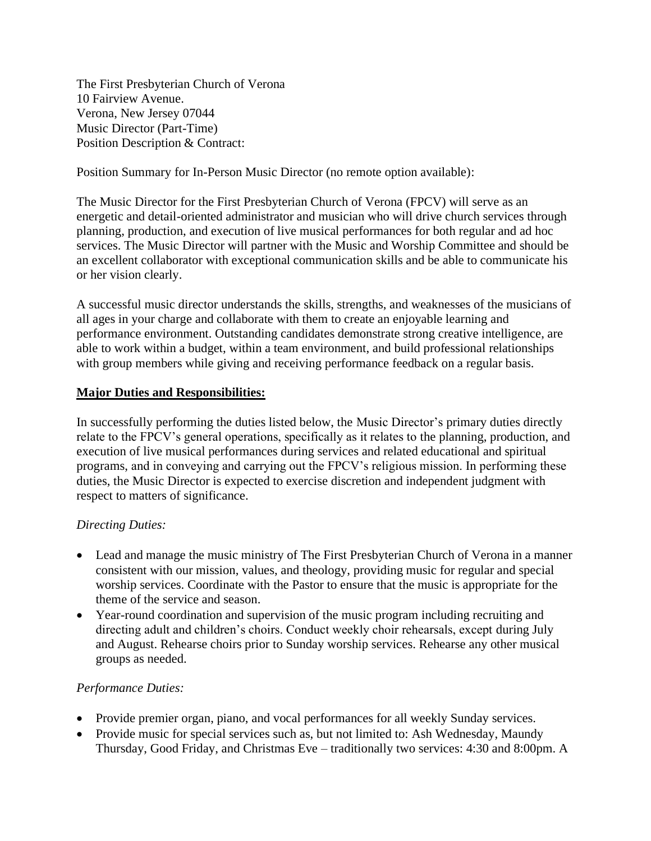The First Presbyterian Church of Verona 10 Fairview Avenue. Verona, New Jersey 07044 Music Director (Part-Time) Position Description & Contract:

Position Summary for In-Person Music Director (no remote option available):

The Music Director for the First Presbyterian Church of Verona (FPCV) will serve as an energetic and detail-oriented administrator and musician who will drive church services through planning, production, and execution of live musical performances for both regular and ad hoc services. The Music Director will partner with the Music and Worship Committee and should be an excellent collaborator with exceptional communication skills and be able to communicate his or her vision clearly.

A successful music director understands the skills, strengths, and weaknesses of the musicians of all ages in your charge and collaborate with them to create an enjoyable learning and performance environment. Outstanding candidates demonstrate strong creative intelligence, are able to work within a budget, within a team environment, and build professional relationships with group members while giving and receiving performance feedback on a regular basis.

### **Major Duties and Responsibilities:**

In successfully performing the duties listed below, the Music Director's primary duties directly relate to the FPCV's general operations, specifically as it relates to the planning, production, and execution of live musical performances during services and related educational and spiritual programs, and in conveying and carrying out the FPCV's religious mission. In performing these duties, the Music Director is expected to exercise discretion and independent judgment with respect to matters of significance.

## *Directing Duties:*

- Lead and manage the music ministry of The First Presbyterian Church of Verona in a manner consistent with our mission, values, and theology, providing music for regular and special worship services. Coordinate with the Pastor to ensure that the music is appropriate for the theme of the service and season.
- Year-round coordination and supervision of the music program including recruiting and directing adult and children's choirs. Conduct weekly choir rehearsals, except during July and August. Rehearse choirs prior to Sunday worship services. Rehearse any other musical groups as needed.

### *Performance Duties:*

- Provide premier organ, piano, and vocal performances for all weekly Sunday services.
- Provide music for special services such as, but not limited to: Ash Wednesday, Maundy Thursday, Good Friday, and Christmas Eve – traditionally two services: 4:30 and 8:00pm. A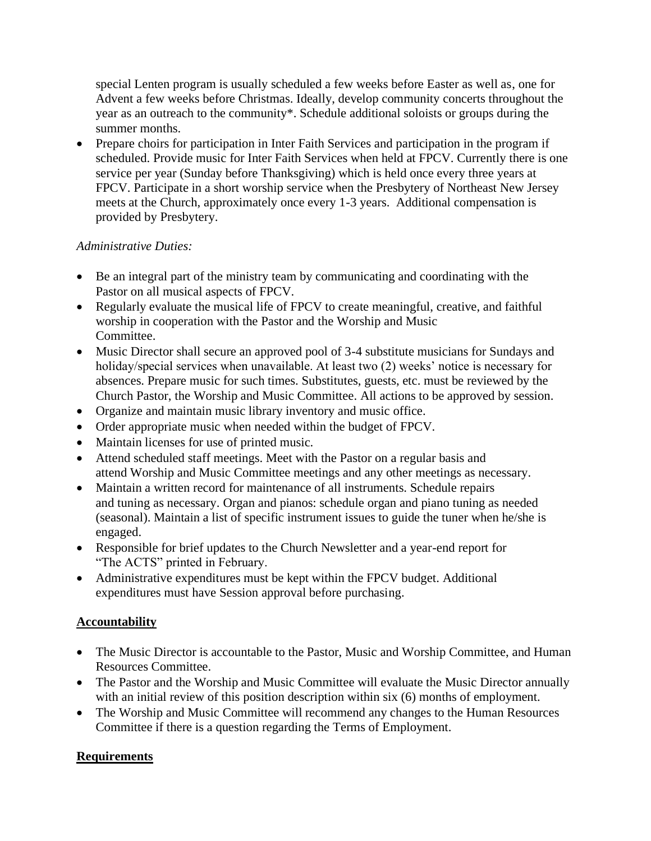special Lenten program is usually scheduled a few weeks before Easter as well as, one for Advent a few weeks before Christmas. Ideally, develop community concerts throughout the year as an outreach to the community\*. Schedule additional soloists or groups during the summer months.

• Prepare choirs for participation in Inter Faith Services and participation in the program if scheduled. Provide music for Inter Faith Services when held at FPCV. Currently there is one service per year (Sunday before Thanksgiving) which is held once every three years at FPCV. Participate in a short worship service when the Presbytery of Northeast New Jersey meets at the Church, approximately once every 1-3 years. Additional compensation is provided by Presbytery.

# *Administrative Duties:*

- Be an integral part of the ministry team by communicating and coordinating with the Pastor on all musical aspects of FPCV.
- Regularly evaluate the musical life of FPCV to create meaningful, creative, and faithful worship in cooperation with the Pastor and the Worship and Music Committee.
- Music Director shall secure an approved pool of 3-4 substitute musicians for Sundays and holiday/special services when unavailable. At least two (2) weeks' notice is necessary for absences. Prepare music for such times. Substitutes, guests, etc. must be reviewed by the Church Pastor, the Worship and Music Committee. All actions to be approved by session.
- Organize and maintain music library inventory and music office.
- Order appropriate music when needed within the budget of FPCV.
- Maintain licenses for use of printed music.
- Attend scheduled staff meetings. Meet with the Pastor on a regular basis and attend Worship and Music Committee meetings and any other meetings as necessary.
- Maintain a written record for maintenance of all instruments. Schedule repairs and tuning as necessary. Organ and pianos: schedule organ and piano tuning as needed (seasonal). Maintain a list of specific instrument issues to guide the tuner when he/she is engaged.
- Responsible for brief updates to the Church Newsletter and a year-end report for "The ACTS" printed in February.
- Administrative expenditures must be kept within the FPCV budget. Additional expenditures must have Session approval before purchasing.

# **Accountability**

- The Music Director is accountable to the Pastor, Music and Worship Committee, and Human Resources Committee.
- The Pastor and the Worship and Music Committee will evaluate the Music Director annually with an initial review of this position description within six (6) months of employment.
- The Worship and Music Committee will recommend any changes to the Human Resources Committee if there is a question regarding the Terms of Employment.

## **Requirements**